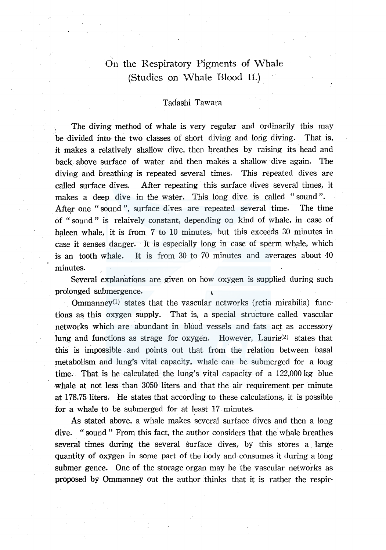# On the Respiratory Pigments of Whale (Studies on vVhale Blood II.)

## Tadashi Tawara

The diving method of whale is very regular and ordinarily this may be divided into the two classes of short diving and long diving. That is, it makes a relatively shallow dive, then breathes by raising its head and back. above surface of water and then makes a shallow dive again. The diving and breathing is repeated several times. This repeated dives are called surface dives. After repeating this surface dives several times, it makes a deep dive in the water. This long dive is called "sound". After one "sound", surface dives are repeated several time. The time of "sound" is relaively constant, depending on kind of whale, in case of baleen whale, it is from 7 to 10 minutes, but this exceeds 30 minutes in case it senses danger. It is especially long in case of sperm whale, which is an tooth whale. It is from 30 to 70 minutes and averages about 40 minutes.

Several explanations are given on how oxygen is supplied during such

prolonged submergence.<br>
Ommanney<sup>(1)</sup> states that the vascular networks (retia mirabilia) functions as this oxygen supply. That is, a special structure called vascular networks which are abundant in blood vessels and fats act as accessory lung and functions as strage for oxygen. However, Laurie(2) states that this is impossible . and points out that from the relation between. basal metabolism and lung's vital capacity, whale can be submerged for a long time. That is he calculated the lung's vital capacity of a 122,000 kg blue whale at not less than 3050 liters and that the air requirement per minute at 178. 75 liters. He states that according to these calculations, it is possible for a whale to be submerged for at least 17 minutes.

As stated above, a whale makes several surface dives and then a long dive. "sound" From this fact, the author considers that the whale breathes several times during the several surface dives, by this stores a large quantity of oxygen in some part of the body and consumes it during a long submer gence. One of the storage organ may be the vascular networks as proposed by Ommanney out the author thinks that it is rather the respir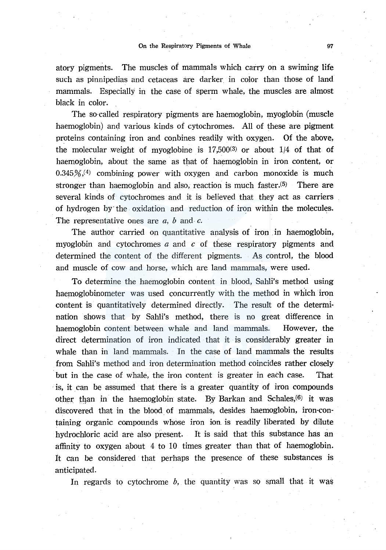atory pigments. The muscles of mammals which carry on a swiming life such as pinnipedias and cetaceas are darker in color than those of land mammals. Especially in the case of sperm whale, the muscles are almost black in color.

The so-called respiratory pigments are haemoglobin, myoglobin (muscle haemoglobin) and various kinds of cytochromes. All of these are pigment proteins containing iron and conbines readily with oxygen. Of the above, the molecular weight of myoglobine is  $17,500(3)$  or about  $1/4$  of that of haemoglobin, about the same as that of haemoglobin in iron content, or  $0.345\%/4$  combining power with oxygen and carbon monoxide is much stronger than haemoglobin and also, reaction is much faster.(5) There are several kinds of cytochromes and it is believed that they act as carriers of hydrogen by· the oxidation and reduction of iron within the molecules. The representative ones are *a*, *b* and *c*.

The author carried on quantitative analysis of iron in haemoglobin, myoglobin and cytochromes *a* and *c* of these respiratory pigments and determined the content of the different pigments. As control, the blood and muscle of cow and horse, which are land mammals, were used.

To determine the haemoglobin content in blood, Sahli's method using haemoglobinometer was used concurrently with the method in which iron content is quantitatively determined directly. The result of the determination shows that by Sahli's method, there is no great difference in haemoglobin content between whale and land mammals. However, the direct determination of iron indicated that it is considerably greater in whale than in land mammals. In the case of land mammals the results from Sahli's method and iron determination method coincides rather closely but in the case of whale, the iron content is greater in each case. That is, it can be assumed that there is a greater quantity of iron compounds other than in the haemoglobin state. By Barkan and Schales,(6) it was discovered that in the blood of mammals, desides haemoglobin, iron-containing organic compounds whose iron ion is readily liberated by dilute hydrochloric acid are also present. It is said that this substance has an affinity to oxygen about 4 to 10 times greater than that of haemoglobin. It can be considered that perhaps the presence of these substances is anticipated.

In regards to cytochrome  $b$ , the quantity was so small that it was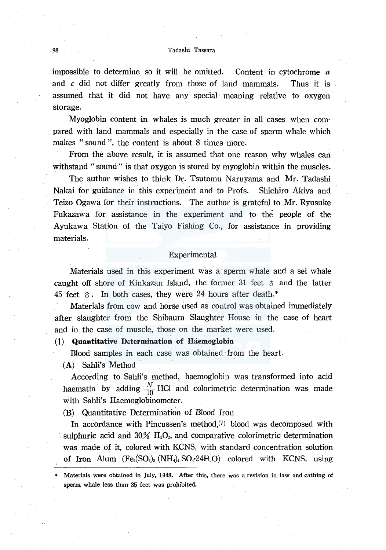### 98 Tadashi Tawara

impossible to determine so it will be omitted. Content in cytochrome *a*  and *c* did not differ greatly from those of land mammals. Thus it is assumed that it did not have any special· meaning relative to oxygen storage.

Myoglobin content in whales is much greater in all cases when compared with land mammals and especially in the case of sperm whale which makes "sound", the content is about 8 times more.

From the above result, it is assumed that one reason why whales can withstand "sound" is that oxygen is stored by myoglobin within the muscles.

The author wishes to think Dr. Tsutomu Naruyama and Mr. Tadashi Nakai for guidance in this experiment and to Profs. Shichiro Akiya and Teizo Ogawa for their instructions. The author is grateful to Mr. Ryusuke Fukazawa for assistance in the experiment and to the people of the Ayukawa Station of the Taiyo Fishing Co., for assistance in providing materials.

## **Experimental**

Materials used in this experiment was a sperm whale and a sei whale caught off shore of Kinkazan Island, the former 31 feet  $\delta$  and the latter 45 feet  $\delta$ . In both cases, they were 24 hours after death.<sup>\*</sup>

Materials from cow and horse used as control was obtained immediately after slaughter from the Shibaura Slaughter House in the case of heart and in the case of muscle, those on the market were used.

## (1) Quantitative Determination of Haemoglobin

Blood samples in each case was obtained from the heart.

(A) Sahli's Method

According to Sahli's method, haemoglobin was transformed into acid haematin by adding  $\frac{N}{10}$  HCl and colorimetric determination was made with Sahli's Haemoglobinometer.

**(B)** Quantitative Determination of Blood Iron

In accordance with Pincussen's method,(7) blood was decomposed with sulphuric acid and  $30\%$  H<sub>2</sub>O<sub>2</sub>, and comparative colorimetric determination was made of it, colored with KCNS, with standard concentration solution of Iron Alum  $(Fe_2(SO_4)_3 (NH_4)_2 SO_4 \cdot 24 H_2 O)$  colored with KCNS, using

Materials were obtained in July, 1948. After this, there was a revision in law and cathing of sperm whale less than 35 feet was prohibited,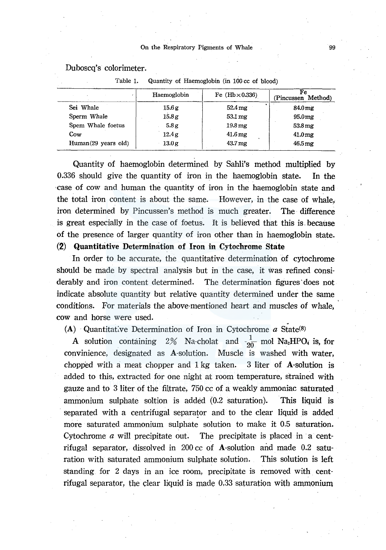Duboscq's colorimeter.

|                     | Haemoglobin | Fe $(Hb \times 0.336)$ | Fe<br>(Pincussen Method) |
|---------------------|-------------|------------------------|--------------------------|
| Sei Whale           | 15.6g       | $52.4 \,\mathrm{mg}$   | $84.0 \,\mathrm{mg}$     |
| Sperm Whale         | 15.8 g      | 53.1 mg                | 95.0 <sub>mg</sub>       |
| Spem Whale foetus   | 5.8g        | $19.8 \,\mathrm{mg}$   | $53.8 \,\mathrm{mg}$     |
| Cow                 | 12.4g       | $41.6 \,\mathrm{mg}$   | $41.0 \,\mathrm{mg}$     |
| Human(29 years old) | 13.0g       | $43.7 \,\mathrm{mg}$   | $46.5 \,\mathrm{mg}$     |

Table 1. Quantity of Haemoglobin (in 100 cc of blood)

Quantity of haemoglobin determined by Sahli's method multiplied by 0.336 should give the quantity of iron in the haemoglobin state. In the ·case of cow and human the quantity of iron in the haemoglobin state and the total iron content is about the same. However, in the case of whale, iron determined by Pincussen's method is much greater. The difference is great especially in the case of foetus. It is believed that this is. because of the presence of larger quantity of iron other than in haemoglobin state. (2) Quantitative Determination of Iron in Cytochrome State

In order to be accurate, the quantitative determination of cytochrome should be made by spectral analysis but in the case, it was refined considerably and iron content determined. The determination figures· does not indicate absolute quantity but relative quantity determined under the same conditions. For materials the above-mentioned heart and muscles of whale, cow and horse were used.

(A) Quantitative Determination of Iron in Cytochrome  $a$  State(8)

A solution containing 2% Na-cholat and  $\frac{1}{20}$  mol Na<sub>2</sub>HPO<sub>4</sub> is, for convinience, designated as A-solution. Muscle is washed with water, chopped with a meat chopper and 1 kg taken. 3 liter of A-solution is added to this, extracted for one night at room temperature, strained with gauze and to 3 liter of the filtrate, 750 cc of a weakly ammoniac saturated ammonium sulphate soltion is added (0.2 saturation). This liquid is separated with a centrifugal separator and to the clear liquid is added more saturated ammonium sulphate solution to make it 0.5 saturation. Cytochrome  $\alpha$  will precipitate out. The precipitate is placed in  $\alpha$  centrifugal separator, dissolved in  $200 \text{ cc}$  of A-solution and made 0.2 saturation with saturated ammonium sulphate solution. This solution is left standing for 2 days in an ice room, precipitate is removed with centrifugal separator, the clear liquid is made 0.33 saturation with ammonium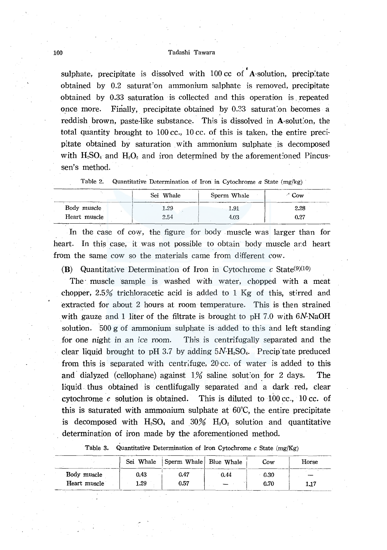#### 100 Tadashi Tawara

sulphate, precipitate is dissolved with 100 cc of A-solution, precipitate obtained by 0.2 saturat'on ammonium salphate is removed, precipitate obtained by 0.33 saturation is collected and this operation is , repeated once more. Finally, precipitate obtained by 0.33 saturat:on becomes a reddish brown, paste-like substance. This is dissolved in A-solution, the total quantity brought to 100 cc., 10 cc. of this is taken, the entire precipitate obtained by saturation with ammonium sulphate is decomposed with  $H<sub>2</sub>SO<sub>4</sub>$  and  $H<sub>2</sub>O<sub>2</sub>$  and iron determined by the aforementioned Pincussen's method.

|  |  | Table 2. Quantitative Determination of Iron in Cytochrome $a$ State (mg/kg) |  |  |  |  |  |  |
|--|--|-----------------------------------------------------------------------------|--|--|--|--|--|--|
|--|--|-----------------------------------------------------------------------------|--|--|--|--|--|--|

|              | Sei Whale | Sperm Whale | $\sim$ Cow |
|--------------|-----------|-------------|------------|
| Body muscle  | 1.29      | 1.91        | 2.28       |
| Heart muscle | 2.54      | 4.03        | 0.27       |

In the case of cow, the figure for body muscle was larger than for heart. In this case, it was not possible to obtain body muscle and heart from the same cow so the materials came from different cow.

(B) Quantitative Determination of Iron in Cytochrome  $c$  State<sup>(9)(10)</sup>

The muscle sample is washed with water, chopped with a meat chopper, 2.5% trichloracetic acid is added to 1 Kg of this, stirred and extracted for about 2 hours at room temperature. This is then strained with gauze and 1 liter of the filtrate is brought to pH  $7.0$  with  $6N-NaOH$ solution. 500 g of ammonium sulphate is· added to this and left standing for one night in an ice room. This is centrifugally separated and the clear liquid brought to pH 3.7 by adding  $5N-H<sub>2</sub>SO<sub>4</sub>$ . Precip tate preduced from this is separated with centrifuge, 20 cc. of water is added to this and dialyzed (cellophane) against  $1\%$  saline solution for 2 days. The liquid. thus obtained is centlifugally separated and a dark red, clear cytochrome  $c$  solution is obtained. This is diluted to 100 cc., 10 cc. of this is saturated with ammonium sulphate at 60°C, the entire precipitate is decomposed with  $H<sub>2</sub>SO<sub>4</sub>$  and  $30\%$   $H<sub>2</sub>O<sub>2</sub>$  solution and quantitative determination of iron made by the aforementioned method.

|              | Sei Whale | Sperm Whale Blue Whale |      | Cow  | Horse |
|--------------|-----------|------------------------|------|------|-------|
| Body muscle  | 0.43      | 0.47                   | 0.44 | 0.30 |       |
| Heart muscle | 1.29      | 0.57                   |      | 0.70 | 1.17  |

Table 3. Quantitative Determination of Iron Cytochrome *c* State (mg/Kg)